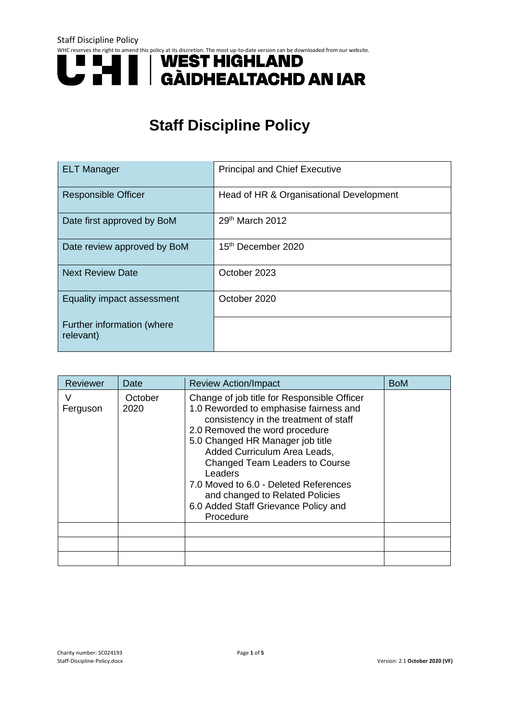# WHC reserves the right to amend this policy at its discretion. The most up-to-date version can be downloaded from our website.<br> **ENST HIGHLAND GÀIDHEALTACHD AN IAR**

# **Staff Discipline Policy**

| <b>ELT Manager</b>                      | <b>Principal and Chief Executive</b>    |
|-----------------------------------------|-----------------------------------------|
| <b>Responsible Officer</b>              | Head of HR & Organisational Development |
| Date first approved by BoM              | 29th March 2012                         |
| Date review approved by BoM             | 15 <sup>th</sup> December 2020          |
| <b>Next Review Date</b>                 | October 2023                            |
| Equality impact assessment              | October 2020                            |
| Further information (where<br>relevant) |                                         |

| Reviewer      | Date            | <b>Review Action/Impact</b>                                                                                                                                                                                                                                                                                                                                                                                        | <b>BoM</b> |
|---------------|-----------------|--------------------------------------------------------------------------------------------------------------------------------------------------------------------------------------------------------------------------------------------------------------------------------------------------------------------------------------------------------------------------------------------------------------------|------------|
| V<br>Ferguson | October<br>2020 | Change of job title for Responsible Officer<br>1.0 Reworded to emphasise fairness and<br>consistency in the treatment of staff<br>2.0 Removed the word procedure<br>5.0 Changed HR Manager job title<br>Added Curriculum Area Leads,<br>Changed Team Leaders to Course<br>Leaders<br>7.0 Moved to 6.0 - Deleted References<br>and changed to Related Policies<br>6.0 Added Staff Grievance Policy and<br>Procedure |            |
|               |                 |                                                                                                                                                                                                                                                                                                                                                                                                                    |            |
|               |                 |                                                                                                                                                                                                                                                                                                                                                                                                                    |            |
|               |                 |                                                                                                                                                                                                                                                                                                                                                                                                                    |            |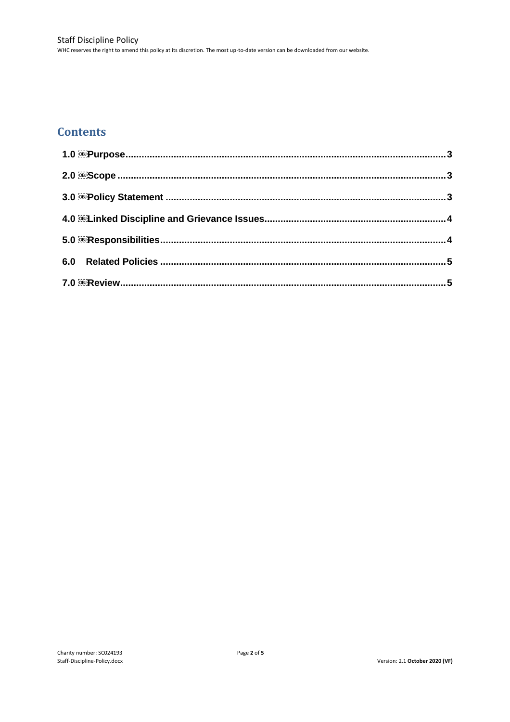# **Contents**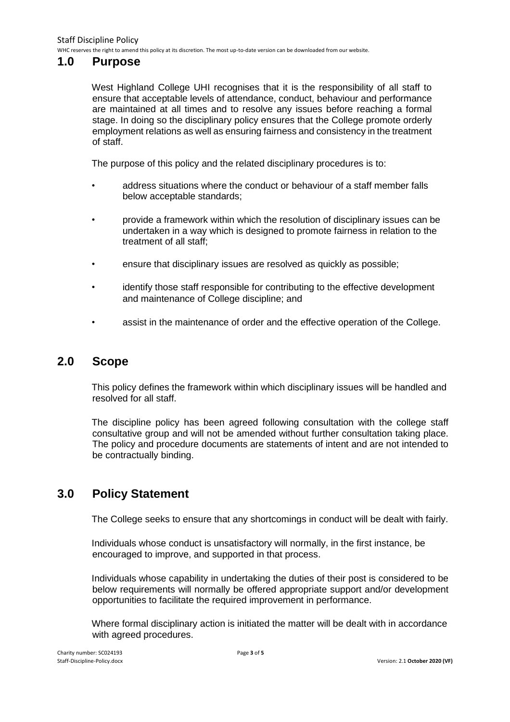WHC reserves the right to amend this policy at its discretion. The most up-to-date version can be downloaded from our website.

### <span id="page-2-0"></span>**1.0 Purpose**

West Highland College UHI recognises that it is the responsibility of all staff to ensure that acceptable levels of attendance, conduct, behaviour and performance are maintained at all times and to resolve any issues before reaching a formal stage. In doing so the disciplinary policy ensures that the College promote orderly employment relations as well as ensuring fairness and consistency in the treatment of staff.

The purpose of this policy and the related disciplinary procedures is to:

- address situations where the conduct or behaviour of a staff member falls below acceptable standards;
- provide a framework within which the resolution of disciplinary issues can be undertaken in a way which is designed to promote fairness in relation to the treatment of all staff;
- ensure that disciplinary issues are resolved as quickly as possible;
- identify those staff responsible for contributing to the effective development and maintenance of College discipline; and
- assist in the maintenance of order and the effective operation of the College.

### <span id="page-2-1"></span>**2.0 Scope**

This policy defines the framework within which disciplinary issues will be handled and resolved for all staff.

The discipline policy has been agreed following consultation with the college staff consultative group and will not be amended without further consultation taking place. The policy and procedure documents are statements of intent and are not intended to be contractually binding.

# <span id="page-2-2"></span>**3.0 Policy Statement**

The College seeks to ensure that any shortcomings in conduct will be dealt with fairly.

Individuals whose conduct is unsatisfactory will normally, in the first instance, be encouraged to improve, and supported in that process.

Individuals whose capability in undertaking the duties of their post is considered to be below requirements will normally be offered appropriate support and/or development opportunities to facilitate the required improvement in performance.

Where formal disciplinary action is initiated the matter will be dealt with in accordance with agreed procedures.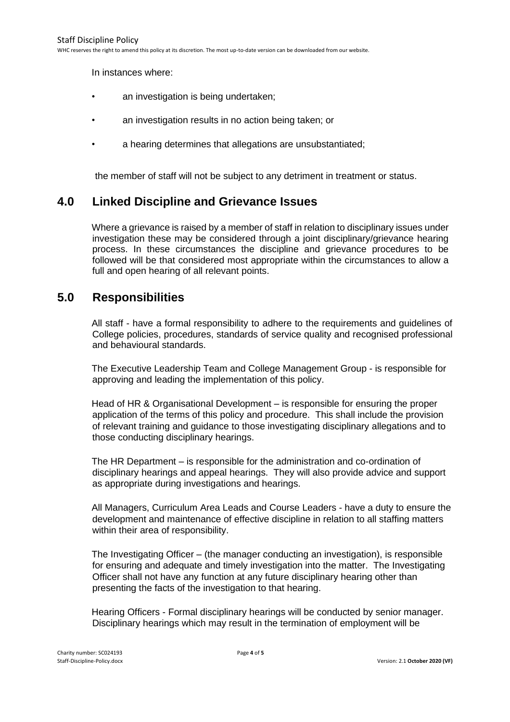WHC reserves the right to amend this policy at its discretion. The most up-to-date version can be downloaded from our website.

In instances where:

- an investigation is being undertaken;
- an investigation results in no action being taken; or
- a hearing determines that allegations are unsubstantiated;

the member of staff will not be subject to any detriment in treatment or status.

### <span id="page-3-0"></span>**4.0 Linked Discipline and Grievance Issues**

Where a grievance is raised by a member of staff in relation to disciplinary issues under investigation these may be considered through a joint disciplinary/grievance hearing process. In these circumstances the discipline and grievance procedures to be followed will be that considered most appropriate within the circumstances to allow a full and open hearing of all relevant points.

# <span id="page-3-1"></span>**5.0 Responsibilities**

All staff - have a formal responsibility to adhere to the requirements and guidelines of College policies, procedures, standards of service quality and recognised professional and behavioural standards.

The Executive Leadership Team and College Management Group - is responsible for approving and leading the implementation of this policy.

Head of HR & Organisational Development – is responsible for ensuring the proper application of the terms of this policy and procedure. This shall include the provision of relevant training and guidance to those investigating disciplinary allegations and to those conducting disciplinary hearings.

The HR Department – is responsible for the administration and co-ordination of disciplinary hearings and appeal hearings. They will also provide advice and support as appropriate during investigations and hearings.

All Managers, Curriculum Area Leads and Course Leaders - have a duty to ensure the development and maintenance of effective discipline in relation to all staffing matters within their area of responsibility.

The Investigating Officer – (the manager conducting an investigation), is responsible for ensuring and adequate and timely investigation into the matter. The Investigating Officer shall not have any function at any future disciplinary hearing other than presenting the facts of the investigation to that hearing.

Hearing Officers - Formal disciplinary hearings will be conducted by senior manager. Disciplinary hearings which may result in the termination of employment will be